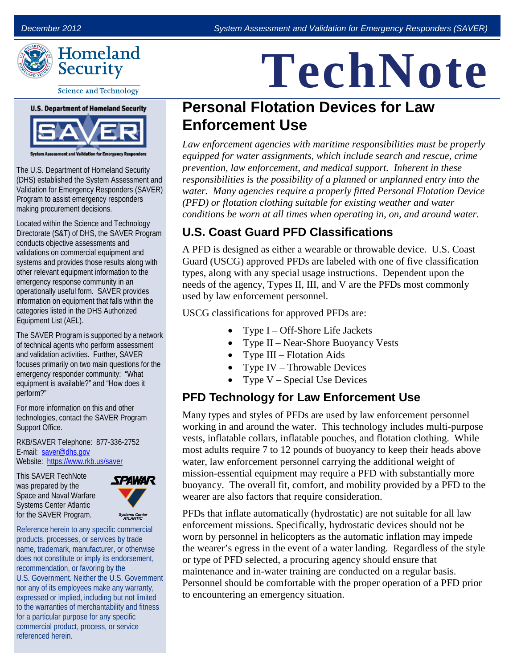

**Science and Technology** 



The U.S. Department of Homeland Security (DHS) established the System Assessment and Validation for Emergency Responders (SAVER) Program to assist emergency responders making procurement decisions.

Located within the Science and Technology Directorate (S&T) of DHS, the SAVER Program conducts objective assessments and validations on commercial equipment and systems and provides those results along with other relevant equipment information to the emergency response community in an operationally useful form. SAVER provides information on equipment that falls within the categories listed in the DHS Authorized Equipment List (AEL).

The SAVER Program is supported by a network of technical agents who perform assessment and validation activities. Further, SAVER focuses primarily on two main questions for the emergency responder community: "What equipment is available?" and "How does it perform?"

For more information on this and other technologies, contact the SAVER Program Support Office.

RKB/SAVER Telephone: 877-336-2752 E-mail: [saver@dhs.gov](mailto:saver@dhs.gov) Website: <https://www.rkb.us/saver>

This SAVER TechNote was prepared by the Space and Naval Warfare Systems Center Atlantic for the SAVER Program.



Reference herein to any specific commercial products, processes, or services by trade name, trademark, manufacturer, or otherwise does not constitute or imply its endorsement, recommendation, or favoring by the U.S. Government. Neither the U.S. Government nor any of its employees make any warranty, expressed or implied, including but not limited to the warranties of merchantability and fitness for a particular purpose for any specific commercial product, process, or service referenced herein.

# **TechNote**

# **Personal Flotation Devices for Law Enforcement Use**

*Law enforcement agencies with maritime responsibilities must be properly equipped for water assignments, which include search and rescue, crime prevention, law enforcement, and medical support. Inherent in these responsibilities is the possibility of a planned or unplanned entry into the water. Many agencies require a properly fitted Personal Flotation Device (PFD) or flotation clothing suitable for existing weather and water conditions be worn at all times when operating in, on, and around water.* 

#### **U.S. Coast Guard PFD Classifications**

A PFD is designed as either a wearable or throwable device. U.S. Coast Guard (USCG) approved PFDs are labeled with one of five classification types, along with any special usage instructions. Dependent upon the needs of the agency, Types II, III, and V are the PFDs most commonly used by law enforcement personnel.

USCG classifications for approved PFDs are:

- Type  $I Off-Shore$  Life Jackets
- Type II Near-Shore Buoyancy Vests
- Type III Flotation Aids
- Type IV Throwable Devices
- Type  $V Special Use Devices$

## **PFD Technology for Law Enforcement Use**

Many types and styles of PFDs are used by law enforcement personnel working in and around the water. This technology includes multi-purpose vests, inflatable collars, inflatable pouches, and flotation clothing. While most adults require 7 to 12 pounds of buoyancy to keep their heads above water, law enforcement personnel carrying the additional weight of mission-essential equipment may require a PFD with substantially more buoyancy. The overall fit, comfort, and mobility provided by a PFD to the wearer are also factors that require consideration.

PFDs that inflate automatically (hydrostatic) are not suitable for all law enforcement missions. Specifically, hydrostatic devices should not be worn by personnel in helicopters as the automatic inflation may impede the wearer's egress in the event of a water landing. Regardless of the style or type of PFD selected, a procuring agency should ensure that maintenance and in-water training are conducted on a regular basis. Personnel should be comfortable with the proper operation of a PFD prior to encountering an emergency situation.